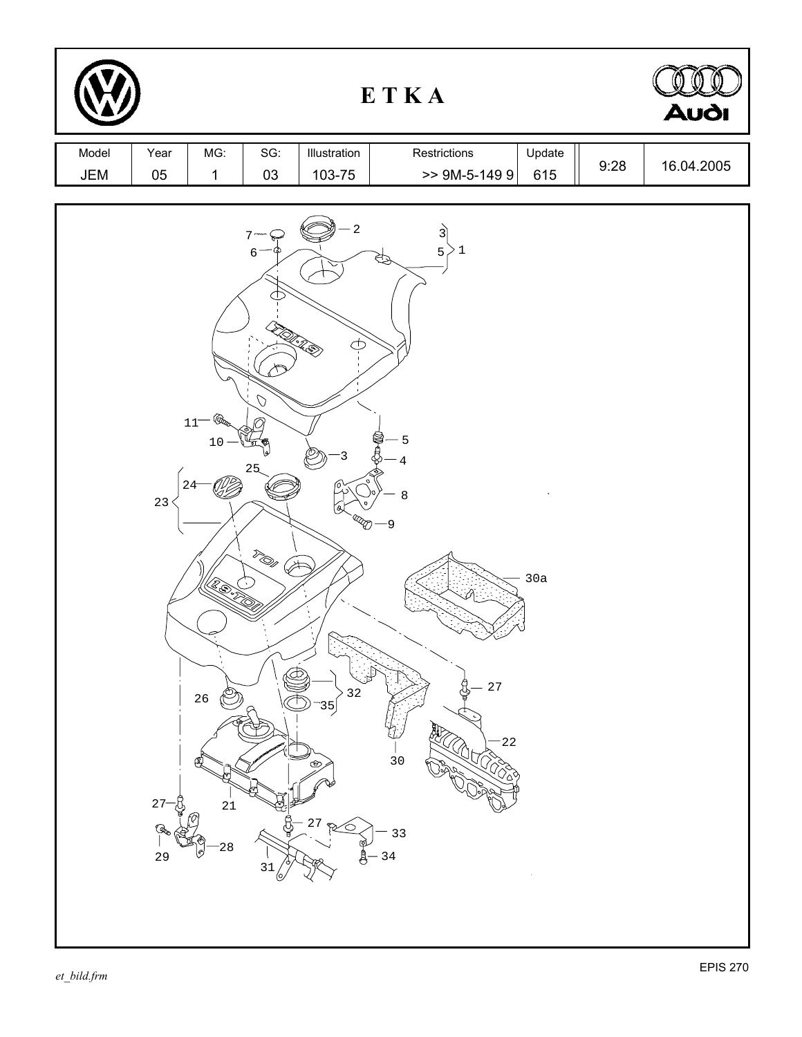|              |                          | ETKA                                                                                  |                                                                                      |                                                                                                  |                                                                                                                      |               | <b>Audi</b> |            |
|--------------|--------------------------|---------------------------------------------------------------------------------------|--------------------------------------------------------------------------------------|--------------------------------------------------------------------------------------------------|----------------------------------------------------------------------------------------------------------------------|---------------|-------------|------------|
| Model<br>JEM | Year<br>$05\,$           | MG:<br>$\mathbf{1}$                                                                   | SG:<br>03                                                                            | Illustration<br>103-75                                                                           | Restrictions<br>$>>$ 9M-5-149 9                                                                                      | Update<br>615 | 9:28        | 16.04.2005 |
|              | 23<br>$27 -$<br>Q,<br>29 | $\bigcircled{\!\!}$<br>$11^-$<br>$10$<br>$24 -$<br>(EESTE<br>$26\,$<br>Æ,<br>21<br>28 | 7<br>$\epsilon$<br>THAR S<br>$\mathcal{O}$<br>25<br><sup>T</sup> OS<br>∕≭<br>D<br>31 | $\overline{a}$<br>$\subset \!\! \subset$<br>3<br>හි<br>$3\sqrt{2}$<br>35<br>$^{\circ}$<br>$2\,7$ | $\overrightarrow{3}$<br>5 <sub>1</sub><br>$\geq 1$<br>A<br>$-5$<br>4<br>8<br>-9<br>∽<br>27<br>$22$<br>30<br>33<br>34 | 30a           |             |            |